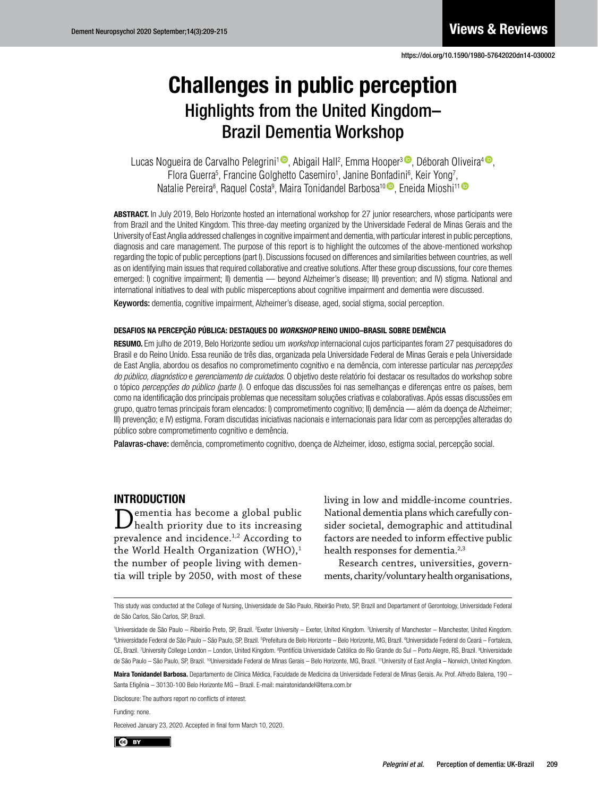# Daily functioning and dementia Highlights from the United Kingdom– Brazil Dementia Workshop Challenges in public perception

Lucas Nogueira de Carvalho Pelegrini<sup>1</sup> <sup>®</sup>, Abigail Hall<sup>2</sup>, Emma Hooper<sup>3 ®</sup>, Déborah Oliveira<sup>4 ®</sup>, Flora Guerra<sup>5</sup>, Francine Golghetto Casemiro<sup>1</sup>, Janine Bonfadini<sup>6</sup>, Keir Yong<sup>7</sup>, that comparison in particular control in the control of the control of the patients of the patients of the method of the method of the method of the method of the method of the method of the method of the method of the met Natalie Pereira<sup>s</sup>, Raquel Costa<sup>9</sup>, Maira Tonidandel Barbosa<sup>10 (</sup>), Eneida Mioshi<sup>11 (</sup>)

ABSTRACT. In July 2019, Belo Horizonte hosted an international workshop for 27 junior researchers, whose participants were from Brazil and the United Kingdom. This three-day meeting organized by the Universidade Federal de Minas Gerais and the University of East Anglia addressed challenges in cognitive impairment and dementia, with particular interest in public perceptions, diagnosis and care management. The purpose of this report is to highlight the outcomes of the above-mentioned workshop regarding the topic of public perceptions (part I). Discussions focused on differences and similarities between countries, as well international initiatives to deal with public misperceptions about cognitive impairment and dementia were discussed. as on identifying main issues that required collaborative and creative solutions. After these group discussions, four core themes emerged: I) cognitive impairment; II) dementia — beyond Alzheimer's disease; III) prevention; and IV) stigma. National and

Keywords: dementia, cognitive impairment, Alzheimer's disease, aged, social stigma, social perception.

## DESAFIOS NA PERCEPÇÃO PÚBLICA: DESTAQUES DO *WORKSHOP* REINO UNIDO–BRASIL SOBRE DEMÊNCIA

RESUMO. Em julho de 2019, Belo Horizonte sediou um *workshop* internacional cujos participantes foram 27 pesquisadores do Brasil e do Reino Unido. Essa reunião de três dias, organizada pela Universidade Federal de Minas Gerais e pela Universidade de East Anglia, abordou os desafios no comprometimento cognitivo e na demência, com interesse particular nas *percepções* do público, diagnóstico e gerenciamento de cuidados. O objetivo deste relatório foi destacar os resultados do workshop sobre o topico *percepções do publico (parte i)*. O emoque das discussões foi nas sementançãs e diferençãs entre os países, bem<br>como na identificação dos principais problemas que necessitam soluções criativas e colaborativas. Ap grupo, quatro temas principais foram elencados: I) comprometimento cognitivo; II) demência — além da doença de Alzheimer; III) prevenção; e IV) estigma. Foram discutidas iniciativas nacionais e internacionais para lidar com as percepções alteradas do o tópico *percepções do público (parte I)*. O enfoque das discussões foi nas semelhanças e diferenças entre os países, bem público sobre comprometimento cognitivo e demência.

Palavras-chave: demência, comprometimento cognitivo, doença de Alzheimer, idoso, estigma social, percepção social.

## INTRODUCTION

 $\sum_{\text{health priority due to its increasing}}$  $\mathbf D$  health priority due to its increasing prevalence and incidence.<sup>1,2</sup> According to the World Health Organization (WHO), $1$ the number of people living with dementia will triple by 2050, with most of these living in low and middle-income countries. National dementia plans which carefully consider societal, demographic and attitudinal factors are needed to inform effective public health responses for dementia.<sup>2,3</sup>

Research centres, universities, governments, charity/voluntary health organisations,

tant quality of life component from elderly minor cognitive decline, not severe enough This study was conducted at the College of Nursing, Universidade de São Paulo, Ribeirão Preto, SP, Brazil and Departament of Gerontology, Universidade Federal de São Carlos, São Carlos, SP, Brazil.

Maira Tonidandel Barbosa. Departamento de Clínica Médica, Faculdade de Medicina da Universidade Federal de Minas Gerais. Av. Prof. Alfredo Balena, 190 Santa Efigênia – 30130-100 Belo Horizonte MG – Brazil. E-mail: [mairatonidandel@terra.com.br](mailto:mairatonidandel@terra.com.br)

Disclosure: The authors report no conflicts of interest. Disclosure: The authors report no conflicts of interest.

Funding: none.

eceived January 23, 2020. Accepted in final form March 10, 2020.



CE, Brazil. 7University College London – London, United Kingdom. <sup>8</sup>Pontifícia Universidade Católica do Rio Grande do Sul – Porto Alegre, RS, Brazil. <sup>9</sup>Universidade de São Paulo – São Paulo, SP, Brazil. <sup>10</sup>Universidade Federal de Minas Gerais – Belo Horizonte, MG, Brazil. <sup>11</sup>University of East Anglia – Norwich, United Kingdom. 'Universidade de São Paulo – Ribeirão Preto, SP, Brazil. <sup>2</sup>Exeter University – Exeter, United Kingdom. <sup>3</sup>University of Manchester – Manchester, United Kingdom. 4 Universidade Federal de São Paulo – São Paulo, SP, Brazil. 5 Prefeitura de Belo Horizonte – Belo Horizonte, MG, Brazil. 6 Universidade Federal do Ceará – Fortaleza,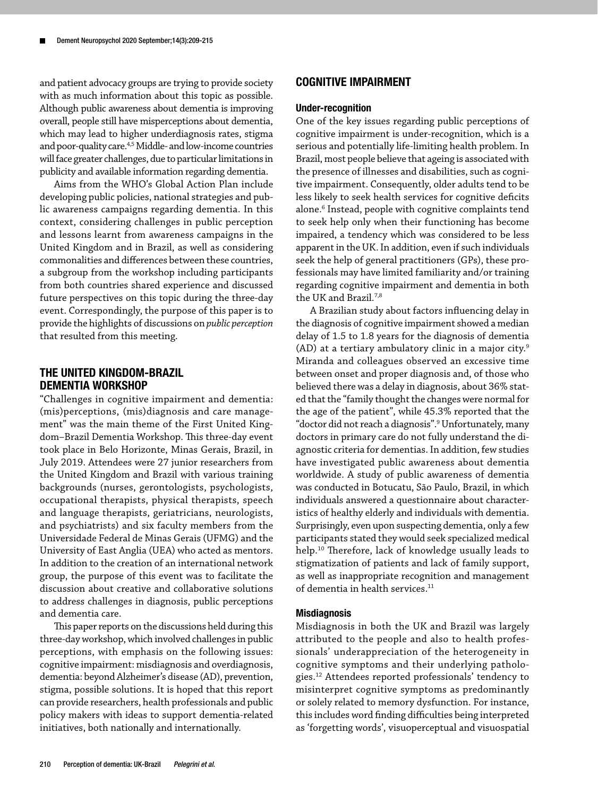and patient advocacy groups are trying to provide society with as much information about this topic as possible. Although public awareness about dementia is improving overall, people still have misperceptions about dementia, which may lead to higher underdiagnosis rates, stigma and poor-quality care.<sup>4,5</sup> Middle- and low-income countries will face greater challenges, due to particular limitations in publicity and available information regarding dementia.

Aims from the WHO's Global Action Plan include developing public policies, national strategies and public awareness campaigns regarding dementia. In this context, considering challenges in public perception and lessons learnt from awareness campaigns in the United Kingdom and in Brazil, as well as considering commonalities and differences between these countries, a subgroup from the workshop including participants from both countries shared experience and discussed future perspectives on this topic during the three-day event. Correspondingly, the purpose of this paper is to provide the highlights of discussions on *public perception* that resulted from this meeting.

## THE UNITED KINGDOM-BRAZIL DEMENTIA WORKSHOP

"Challenges in cognitive impairment and dementia: (mis)perceptions, (mis)diagnosis and care management" was the main theme of the First United Kingdom–Brazil Dementia Workshop. This three-day event took place in Belo Horizonte, Minas Gerais, Brazil, in July 2019. Attendees were 27 junior researchers from the United Kingdom and Brazil with various training backgrounds (nurses, gerontologists, psychologists, occupational therapists, physical therapists, speech and language therapists, geriatricians, neurologists, and psychiatrists) and six faculty members from the Universidade Federal de Minas Gerais (UFMG) and the University of East Anglia (UEA) who acted as mentors. In addition to the creation of an international network group, the purpose of this event was to facilitate the discussion about creative and collaborative solutions to address challenges in diagnosis, public perceptions and dementia care.

This paper reports on the discussions held during this three-day workshop, which involved challenges in public perceptions, with emphasis on the following issues: cognitive impairment: misdiagnosis and overdiagnosis, dementia: beyond Alzheimer's disease (AD), prevention, stigma, possible solutions. It is hoped that this report can provide researchers, health professionals and public policy makers with ideas to support dementia-related initiatives, both nationally and internationally.

### COGNITIVE IMPAIRMENT

#### Under-recognition

One of the key issues regarding public perceptions of cognitive impairment is under-recognition, which is a serious and potentially life-limiting health problem. In Brazil, most people believe that ageing is associated with the presence of illnesses and disabilities, such as cognitive impairment. Consequently, older adults tend to be less likely to seek health services for cognitive deficits alone.<sup>6</sup> Instead, people with cognitive complaints tend to seek help only when their functioning has become impaired, a tendency which was considered to be less apparent in the UK. In addition, even if such individuals seek the help of general practitioners (GPs), these professionals may have limited familiarity and/or training regarding cognitive impairment and dementia in both the UK and Brazil.7,8

A Brazilian study about factors influencing delay in the diagnosis of cognitive impairment showed a median delay of 1.5 to 1.8 years for the diagnosis of dementia (AD) at a tertiary ambulatory clinic in a major city. $9$ Miranda and colleagues observed an excessive time between onset and proper diagnosis and, of those who believed there was a delay in diagnosis, about 36% stated that the "family thought the changes were normal for the age of the patient", while 45.3% reported that the "doctor did not reach a diagnosis".9 Unfortunately, many doctors in primary care do not fully understand the diagnostic criteria for dementias. In addition, few studies have investigated public awareness about dementia worldwide. A study of public awareness of dementia was conducted in Botucatu, São Paulo, Brazil, in which individuals answered a questionnaire about characteristics of healthy elderly and individuals with dementia. Surprisingly, even upon suspecting dementia, only a few participants stated they would seek specialized medical help.10 Therefore, lack of knowledge usually leads to stigmatization of patients and lack of family support, as well as inappropriate recognition and management of dementia in health services.<sup>11</sup>

#### Misdiagnosis

Misdiagnosis in both the UK and Brazil was largely attributed to the people and also to health professionals' underappreciation of the heterogeneity in cognitive symptoms and their underlying pathologies.12 Attendees reported professionals' tendency to misinterpret cognitive symptoms as predominantly or solely related to memory dysfunction. For instance, this includes word finding difficulties being interpreted as 'forgetting words', visuoperceptual and visuospatial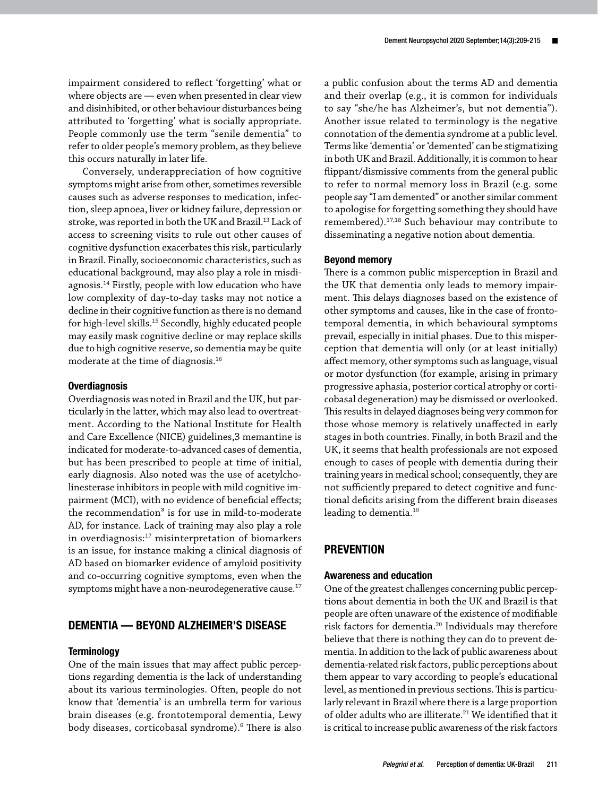impairment considered to reflect 'forgetting' what or where objects are — even when presented in clear view and disinhibited, or other behaviour disturbances being attributed to 'forgetting' what is socially appropriate. People commonly use the term "senile dementia" to refer to older people's memory problem, as they believe this occurs naturally in later life.

Conversely, underappreciation of how cognitive symptoms might arise from other, sometimes reversible causes such as adverse responses to medication, infection, sleep apnoea, liver or kidney failure, depression or stroke, was reported in both the UK and Brazil.13 Lack of access to screening visits to rule out other causes of cognitive dysfunction exacerbates this risk, particularly in Brazil. Finally, socioeconomic characteristics, such as educational background, may also play a role in misdiagnosis.14 Firstly, people with low education who have low complexity of day-to-day tasks may not notice a decline in their cognitive function as there is no demand for high-level skills.15 Secondly, highly educated people may easily mask cognitive decline or may replace skills due to high cognitive reserve, so dementia may be quite moderate at the time of diagnosis.16

#### **Overdiagnosis**

Overdiagnosis was noted in Brazil and the UK, but particularly in the latter, which may also lead to overtreatment. According to the National Institute for Health and Care Excellence (NICE) guidelines,3 memantine is indicated for moderate-to-advanced cases of dementia, but has been prescribed to people at time of initial, early diagnosis. Also noted was the use of acetylcholinesterase inhibitors in people with mild cognitive impairment (MCI), with no evidence of beneficial effects; the recommendation $3$  is for use in mild-to-moderate AD, for instance. Lack of training may also play a role in overdiagnosis: $17$  misinterpretation of biomarkers is an issue, for instance making a clinical diagnosis of AD based on biomarker evidence of amyloid positivity and co-occurring cognitive symptoms, even when the symptoms might have a non-neurodegenerative cause.<sup>17</sup>

## DEMENTIA — BEYOND ALZHEIMER'S DISEASE

#### **Terminology**

One of the main issues that may affect public perceptions regarding dementia is the lack of understanding about its various terminologies. Often, people do not know that 'dementia' is an umbrella term for various brain diseases (e.g. frontotemporal dementia, Lewy body diseases, corticobasal syndrome).6 There is also a public confusion about the terms AD and dementia and their overlap (e.g., it is common for individuals to say "she/he has Alzheimer's, but not dementia"). Another issue related to terminology is the negative connotation of the dementia syndrome at a public level. Terms like 'dementia' or 'demented' can be stigmatizing in both UK and Brazil. Additionally, it is common to hear flippant/dismissive comments from the general public to refer to normal memory loss in Brazil (e.g. some people say "I am demented" or another similar comment to apologise for forgetting something they should have remembered).17,18 Such behaviour may contribute to disseminating a negative notion about dementia.

#### Beyond memory

There is a common public misperception in Brazil and the UK that dementia only leads to memory impairment. This delays diagnoses based on the existence of other symptoms and causes, like in the case of frontotemporal dementia, in which behavioural symptoms prevail, especially in initial phases. Due to this misperception that dementia will only (or at least initially) affect memory, other symptoms such as language, visual or motor dysfunction (for example, arising in primary progressive aphasia, posterior cortical atrophy or corticobasal degeneration) may be dismissed or overlooked. This results in delayed diagnoses being very common for those whose memory is relatively unaffected in early stages in both countries. Finally, in both Brazil and the UK, it seems that health professionals are not exposed enough to cases of people with dementia during their training years in medical school; consequently, they are not sufficiently prepared to detect cognitive and functional deficits arising from the different brain diseases leading to dementia.<sup>19</sup>

## **PREVENTION**

#### Awareness and education

One of the greatest challenges concerning public perceptions about dementia in both the UK and Brazil is that people are often unaware of the existence of modifiable risk factors for dementia.20 Individuals may therefore believe that there is nothing they can do to prevent dementia. In addition to the lack of public awareness about dementia-related risk factors, public perceptions about them appear to vary according to people's educational level, as mentioned in previous sections. This is particularly relevant in Brazil where there is a large proportion of older adults who are illiterate.<sup>21</sup> We identified that it is critical to increase public awareness of the risk factors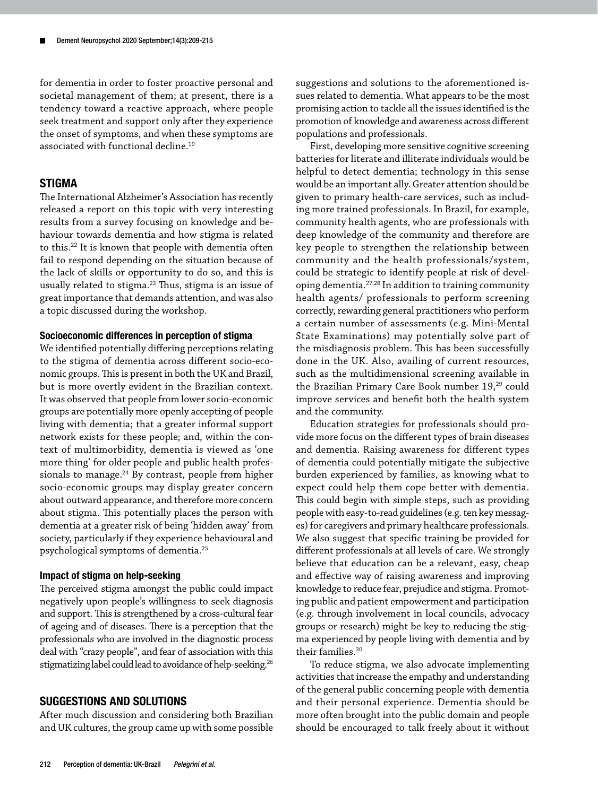for dementia in order to foster proactive personal and societal management of them; at present, there is a tendency toward a reactive approach, where people seek treatment and support only after they experience the onset of symptoms, and when these symptoms are associated with functional decline.<sup>19</sup>

## **STIGMA**

The International Alzheimer's Association has recently released a report on this topic with very interesting results from a survey focusing on knowledge and behaviour towards dementia and how stigma is related to this.22 It is known that people with dementia often fail to respond depending on the situation because of the lack of skills or opportunity to do so, and this is usually related to stigma.<sup>23</sup> Thus, stigma is an issue of great importance that demands attention, and was also a topic discussed during the workshop.

## Socioeconomic differences in perception of stigma

We identified potentially differing perceptions relating to the stigma of dementia across different socio-economic groups. This is present in both the UK and Brazil, but is more overtly evident in the Brazilian context. It was observed that people from lower socio-economic groups are potentially more openly accepting of people living with dementia; that a greater informal support network exists for these people; and, within the context of multimorbidity, dementia is viewed as 'one more thing' for older people and public health professionals to manage. $24$  By contrast, people from higher socio-economic groups may display greater concern about outward appearance, and therefore more concern about stigma. This potentially places the person with dementia at a greater risk of being 'hidden away' from society, particularly if they experience behavioural and psychological symptoms of dementia.25

#### Impact of stigma on help-seeking

The perceived stigma amongst the public could impact negatively upon people's willingness to seek diagnosis and support. This is strengthened by a cross-cultural fear of ageing and of diseases. There is a perception that the professionals who are involved in the diagnostic process deal with "crazy people", and fear of association with this stigmatizing label could lead to avoidance of help-seeking.<sup>26</sup>

## SUGGESTIONS AND SOLUTIONS

After much discussion and considering both Brazilian and UK cultures, the group came up with some possible suggestions and solutions to the aforementioned issues related to dementia. What appears to be the most promising action to tackle all the issues identified is the promotion of knowledge and awareness across different populations and professionals.

First, developing more sensitive cognitive screening batteries for literate and illiterate individuals would be helpful to detect dementia; technology in this sense would be an important ally. Greater attention should be given to primary health-care services, such as including more trained professionals. In Brazil, for example, community health agents, who are professionals with deep knowledge of the community and therefore are key people to strengthen the relationship between community and the health professionals/system, could be strategic to identify people at risk of developing dementia.27,28 In addition to training community health agents/ professionals to perform screening correctly, rewarding general practitioners who perform a certain number of assessments (e.g. Mini-Mental State Examinations) may potentially solve part of the misdiagnosis problem. This has been successfully done in the UK. Also, availing of current resources, such as the multidimensional screening available in the Brazilian Primary Care Book number 19,<sup>29</sup> could improve services and benefit both the health system and the community.

Education strategies for professionals should provide more focus on the different types of brain diseases and dementia. Raising awareness for different types of dementia could potentially mitigate the subjective burden experienced by families, as knowing what to expect could help them cope better with dementia. This could begin with simple steps, such as providing people with easy-to-read guidelines (e.g. ten key messages) for caregivers and primary healthcare professionals. We also suggest that specific training be provided for different professionals at all levels of care. We strongly believe that education can be a relevant, easy, cheap and effective way of raising awareness and improving knowledge to reduce fear, prejudice and stigma. Promoting public and patient empowerment and participation (e.g. through involvement in local councils, advocacy groups or research) might be key to reducing the stigma experienced by people living with dementia and by their families.30

To reduce stigma, we also advocate implementing activities that increase the empathy and understanding of the general public concerning people with dementia and their personal experience. Dementia should be more often brought into the public domain and people should be encouraged to talk freely about it without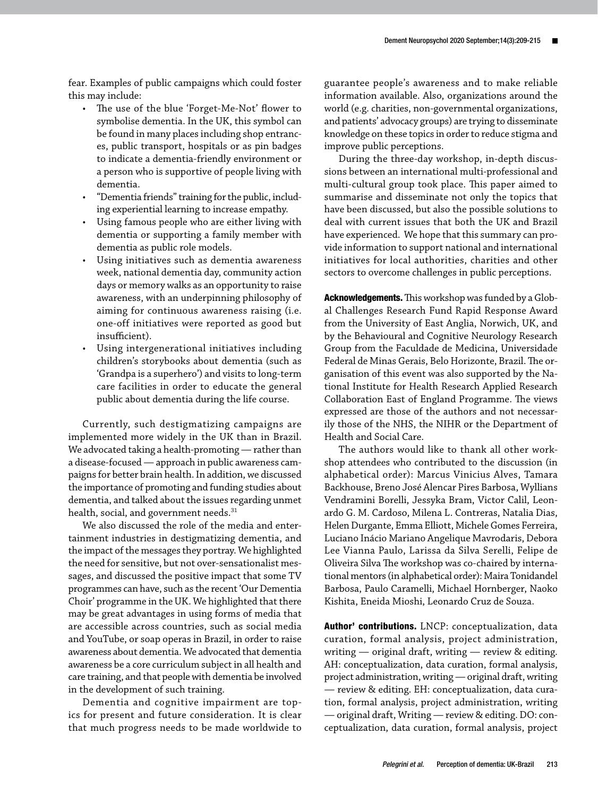fear. Examples of public campaigns which could foster this may include:

- The use of the blue 'Forget-Me-Not' flower to symbolise dementia. In the UK, this symbol can be found in many places including shop entrances, public transport, hospitals or as pin badges to indicate a dementia-friendly environment or a person who is supportive of people living with dementia.
- "Dementia friends" training for the public, including experiential learning to increase empathy.
- Using famous people who are either living with dementia or supporting a family member with dementia as public role models.
- Using initiatives such as dementia awareness week, national dementia day, community action days or memory walks as an opportunity to raise awareness, with an underpinning philosophy of aiming for continuous awareness raising (i.e. one-off initiatives were reported as good but insufficient).
- Using intergenerational initiatives including children's storybooks about dementia (such as 'Grandpa is a superhero') and visits to long-term care facilities in order to educate the general public about dementia during the life course.

Currently, such destigmatizing campaigns are implemented more widely in the UK than in Brazil. We advocated taking a health-promoting — rather than a disease-focused — approach in public awareness campaigns for better brain health. In addition, we discussed the importance of promoting and funding studies about dementia, and talked about the issues regarding unmet health, social, and government needs.<sup>31</sup>

We also discussed the role of the media and entertainment industries in destigmatizing dementia, and the impact of the messages they portray. We highlighted the need for sensitive, but not over-sensationalist messages, and discussed the positive impact that some TV programmes can have, such as the recent 'Our Dementia Choir' programme in the UK. We highlighted that there may be great advantages in using forms of media that are accessible across countries, such as social media and YouTube, or soap operas in Brazil, in order to raise awareness about dementia. We advocated that dementia awareness be a core curriculum subject in all health and care training, and that people with dementia be involved in the development of such training.

Dementia and cognitive impairment are topics for present and future consideration. It is clear that much progress needs to be made worldwide to guarantee people's awareness and to make reliable information available. Also, organizations around the world (e.g. charities, non-governmental organizations, and patients' advocacy groups) are trying to disseminate knowledge on these topics in order to reduce stigma and improve public perceptions.

During the three-day workshop, in-depth discussions between an international multi-professional and multi-cultural group took place. This paper aimed to summarise and disseminate not only the topics that have been discussed, but also the possible solutions to deal with current issues that both the UK and Brazil have experienced. We hope that this summary can provide information to support national and international initiatives for local authorities, charities and other sectors to overcome challenges in public perceptions.

Acknowledgements. This workshop was funded by a Global Challenges Research Fund Rapid Response Award from the University of East Anglia, Norwich, UK, and by the Behavioural and Cognitive Neurology Research Group from the Faculdade de Medicina, Universidade Federal de Minas Gerais, Belo Horizonte, Brazil. The organisation of this event was also supported by the National Institute for Health Research Applied Research Collaboration East of England Programme. The views expressed are those of the authors and not necessarily those of the NHS, the NIHR or the Department of Health and Social Care.

The authors would like to thank all other workshop attendees who contributed to the discussion (in alphabetical order): Marcus Vinicius Alves, Tamara Backhouse, Breno José Alencar Pires Barbosa, Wyllians Vendramini Borelli, Jessyka Bram, Victor Calil, Leonardo G. M. Cardoso, Milena L. Contreras, Natalia Dias, Helen Durgante, Emma Elliott, Michele Gomes Ferreira, Luciano Inácio Mariano Angelique Mavrodaris, Debora Lee Vianna Paulo, Larissa da Silva Serelli, Felipe de Oliveira Silva The workshop was co-chaired by international mentors (in alphabetical order): Maira Tonidandel Barbosa, Paulo Caramelli, Michael Hornberger, Naoko Kishita, Eneida Mioshi, Leonardo Cruz de Souza.

Author' contributions. LNCP: conceptualization, data curation, formal analysis, project administration, writing — original draft, writing — review & editing. AH: conceptualization, data curation, formal analysis, project administration, writing — original draft, writing — review & editing. EH: conceptualization, data curation, formal analysis, project administration, writing — original draft, Writing — review & editing. DO: conceptualization, data curation, formal analysis, project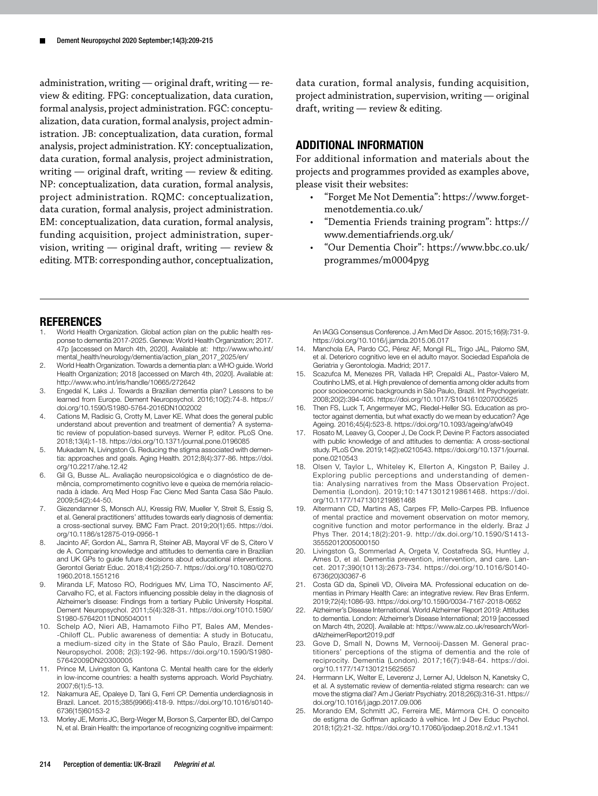administration, writing — original draft, writing — review & editing. FPG: conceptualization, data curation, formal analysis, project administration. FGC: conceptualization, data curation, formal analysis, project administration. JB: conceptualization, data curation, formal analysis, project administration. KY: conceptualization, data curation, formal analysis, project administration, writing  $-$  original draft, writing  $-$  review & editing. NP: conceptualization, data curation, formal analysis, project administration. RQMC: conceptualization, data curation, formal analysis, project administration. EM: conceptualization, data curation, formal analysis, funding acquisition, project administration, supervision, writing — original draft, writing — review & editing. MTB: corresponding author, conceptualization, data curation, formal analysis, funding acquisition, project administration, supervision, writing — original draft, writing — review & editing.

## ADDITIONAL INFORMATION

For additional information and materials about the projects and programmes provided as examples above, please visit their websites:

- "Forget Me Not Dementia": [https://www.forget](https://www.forgetmenotdementia.co.uk/)[menotdementia.co.uk/](https://www.forgetmenotdementia.co.uk/)
- "Dementia Friends training program": [https://](https://www.dementiafriends.org.uk/) [www.dementiafriends.org.uk/](https://www.dementiafriends.org.uk/)
- "Our Dementia Choir": [https://www.bbc.co.uk/](https://www.bbc.co.uk/programmes/m0004pyg) [programmes/m0004pyg](https://www.bbc.co.uk/programmes/m0004pyg)

## REFERENCES

- 1. World Health Organization. Global action plan on the public health response to dementia 2017-2025. Geneva: World Health Organization; 2017. 47p [accessed on March 4th, 2020]. Available at: [http://www.who.int/](http://www.who.int/mental_health/neurology/dementia/action_plan_2017_2025/en/) [mental\\_health/neurology/dementia/action\\_plan\\_2017\\_2025/en/](http://www.who.int/mental_health/neurology/dementia/action_plan_2017_2025/en/)
- 2. World Health Organization. Towards a dementia plan: a WHO guide. World Health Organization; 2018 [accessed on March 4th, 2020]. Available at: <http://www.who.int/iris/handle/10665/272642>
- 3. Engedal K, Laks J. Towards a Brazilian dementia plan? Lessons to be learned from Europe. Dement Neuropsychol. 2016;10(2):74-8. [https://](https://doi.org/10.1590/S1980-5764-2016DN1002002) [doi.org/10.1590/S1980-5764-2016DN1002002](https://doi.org/10.1590/S1980-5764-2016DN1002002)
- Cations M, Radisic G, Crotty M, Laver KE. What does the general public understand about prevention and treatment of dementia? A systematic review of population-based surveys. Werner P, editor. PLoS One. 2018;13(4):1-18.<https://doi.org/10.1371/journal.pone.0196085>
- 5. Mukadam N, Livingston G. Reducing the stigma associated with dementia: approaches and goals. Aging Health. 2012;8(4):377-86. [https://doi.](https://doi.org/10.2217/ahe.12.42) [org/10.2217/ahe.12.42](https://doi.org/10.2217/ahe.12.42)
- 6. Gil G, Busse AL. Avaliação neuropsicológica e o diagnóstico de demência, comprometimento cognitivo leve e queixa de memória relacionada à idade. Arq Med Hosp Fac Cienc Med Santa Casa São Paulo. 2009;54(2):44-50.
- 7. Giezendanner S, Monsch AU, Kressig RW, Mueller Y, Streit S, Essig S, et al. General practitioners' attitudes towards early diagnosis of dementia: a cross-sectional survey. BMC Fam Pract. 2019;20(1):65. [https://doi.](https://doi.org/10.1186/s12875-019-0956-1) [org/10.1186/s12875-019-0956-1](https://doi.org/10.1186/s12875-019-0956-1)
- 8. Jacinto AF, Gordon AL, Samra R, Steiner AB, Mayoral VF de S, Citero V de A. Comparing knowledge and attitudes to dementia care in Brazilian and UK GPs to guide future decisions about educational interventions. Gerontol Geriatr Educ. 2018;41(2):250-7. [https://doi.org/10.1080/0270](https://doi.org/10.1080/02701960.2018.1551216) [1960.2018.1551216](https://doi.org/10.1080/02701960.2018.1551216)
- 9. Miranda LF, Matoso RO, Rodrigues MV, Lima TO, Nascimento AF, Carvalho FC, et al. Factors influencing possible delay in the diagnosis of Alzheimer's disease: Findings from a tertiary Public University Hospital. Dement Neuropsychol. 2011;5(4):328-31. [https://doi.org/1010.1590/](https://doi.org/1010.1590/S1980-57642011DN05040011) [S1980-57642011DN05040011](https://doi.org/1010.1590/S1980-57642011DN05040011)
- 10. Schelp AO, Nieri AB, Hamamoto Filho PT, Bales AM, Mendes- -Chiloff CL. Public awareness of dementia: A study in Botucatu, a medium-sized city in the State of São Paulo, Brazil. Dement Neuropsychol. 2008; 2(3):192-96. [https://doi.org/10.1590/S1980-](https://doi.org/10.1590/S1980-57642009DN20300005) [57642009DN20300005](https://doi.org/10.1590/S1980-57642009DN20300005)
- 11. Prince M, Livingston G, Kantona C. Mental health care for the elderly in low-income countries: a health systems approach. World Psychiatry. 2007;6(1):5-13.
- 12. Nakamura AE, Opaleye D, Tani G, Ferri CP. Dementia underdiagnosis in Brazil. Lancet. 2015;385(9966):418-9. [https://doi.org/10.1016/s0140-](https://doi.org/10.1016/s0140-6736(15)60153-2) [6736\(15\)60153-2](https://doi.org/10.1016/s0140-6736(15)60153-2)
- 13. Morley JE, Morris JC, Berg-Weger M, Borson S, Carpenter BD, del Campo N, et al. Brain Health: the importance of recognizing cognitive impairment:

An IAGG Consensus Conference. J Am Med Dir Assoc. 2015;16(9):731-9. <https://doi.org/10.1016/j.jamda.2015.06.017>

- 14. Manchola EA, Pardo CC, Pérez AF, Mongil RL, Trigo JAL, Palomo SM, et al. Deterioro cognitivo leve en el adulto mayor. Sociedad Española de Geriatria y Gerontologia. Madrid; 2017.
- 15. Scazufca M, Menezes PR, Vallada HP, Crepaldi AL, Pastor-Valero M, Coutinho LMS, et al. High prevalence of dementia among older adults from poor socioeconomic backgrounds in São Paulo, Brazil. Int Psychogeriatr. 2008;20(2):394-405.<https://doi.org/10.1017/S1041610207005625>
- 16. Then FS, Luck T, Angermeyer MC, Riedel-Heller SG. Education as protector against dementia, but what exactly do we mean by education? Age Ageing. 2016;45(4):523-8.<https://doi.org/10.1093/ageing/afw049>
- 17. Rosato M, Leavey G, Cooper J, De Cock P, Devine P. Factors associated with public knowledge of and attitudes to dementia: A cross-sectional study. PLoS One. 2019;14(2):e0210543. [https://doi.org/10.1371/journal.](https://doi.org/10.1371/journal.pone.0210543) [pone.0210543](https://doi.org/10.1371/journal.pone.0210543)
- 18. Olsen V, Taylor L, Whiteley K, Ellerton A, Kingston P, Bailey J. Exploring public perceptions and understanding of dementia: Analysing narratives from the Mass Observation Project. Dementia (London). 2019;10:1471301219861468. [https://doi.](https://doi.org/10.1177/1471301219861468) [org/10.1177/1471301219861468](https://doi.org/10.1177/1471301219861468)
- 19. Altermann CD, Martins AS, Carpes FP, Mello-Carpes PB. Influence of mental practice and movement observation on motor memory, cognitive function and motor performance in the elderly. Braz J Phys Ther. 2014;18(2):201-9. [http://dx.doi.org/10.1590/S1413-](http://dx.doi.org/10.1590/S1413-35552012005000150) [35552012005000150](http://dx.doi.org/10.1590/S1413-35552012005000150)
- 20. Livingston G, Sommerlad A, Orgeta V, Costafreda SG, Huntley J, Ames D, et al. Dementia prevention, intervention, and care. Lancet. 2017;390(10113):2673-734. [https://doi.org/10.1016/S0140-](https://doi.org/10.1016/S0140-6736(20)30367-6) [6736\(20\)30367-6](https://doi.org/10.1016/S0140-6736(20)30367-6)
- 21. Costa GD da, Spineli VD, Oliveira MA. Professional education on dementias in Primary Health Care: an integrative review. Rev Bras Enferm. 2019;72(4):1086-93.<https://doi.org/10.1590/0034-7167-2018-0652>
- 22. Alzheimer's Disease International. World Alzheimer Report 2019: Attitudes to dementia. London: Alzheimer's Disease International; 2019 [accessed on March 4th, 2020]. Available at: [https://www.alz.co.uk/research/Worl](https://www.alz.co.uk/research/WorldAlzheimerReport2019.pdf)[dAlzheimerReport2019.pdf](https://www.alz.co.uk/research/WorldAlzheimerReport2019.pdf)
- 23. Gove D, Small N, Downs M, Vernooij-Dassen M. General practitioners' perceptions of the stigma of dementia and the role of reciprocity. Dementia (London). 2017;16(7):948-64. [https://doi.](https://doi.org/10.1177/1471301215625657) [org/10.1177/1471301215625657](https://doi.org/10.1177/1471301215625657)
- 24. Herrmann LK, Welter E, Leverenz J, Lerner AJ, Udelson N, Kanetsky C, et al. A systematic review of dementia-related stigma research: can we move the stigma dial? Am J Geriatr Psychiatry. 2018;26(3):316-31. [https://](https://doi.org/10.1016/j.jagp.2017.09.006) [doi.org/10.1016/j.jagp.2017.09.006](https://doi.org/10.1016/j.jagp.2017.09.006)
- 25. Morando EM, Schmitt JC, Ferreira ME, Mármora CH. O conceito de estigma de Goffman aplicado à velhice. Int J Dev Educ Psychol. 2018;1(2):21-32.<https://doi.org/10.17060/ijodaep.2018.n2.v1.1341>